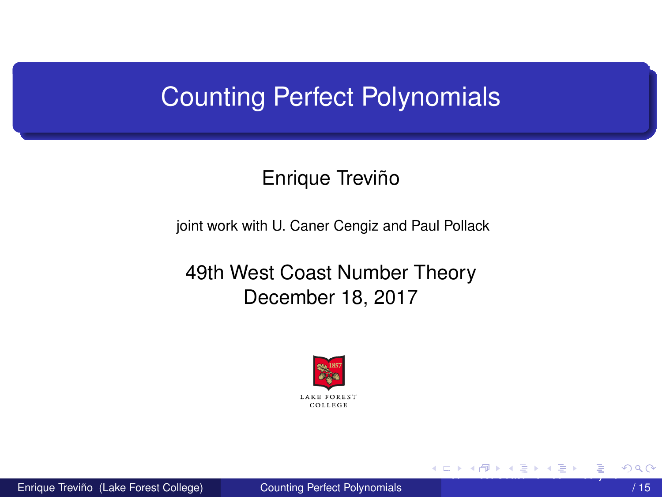# <span id="page-0-0"></span>Counting Perfect Polynomials

### Enrique Treviño

joint work with U. Caner Cengiz and Paul Pollack

49th West Coast Number Theory December 18, 2017



Enrique Treviño (Lake Forest College) [Counting Perfect Polynomials](#page-14-0)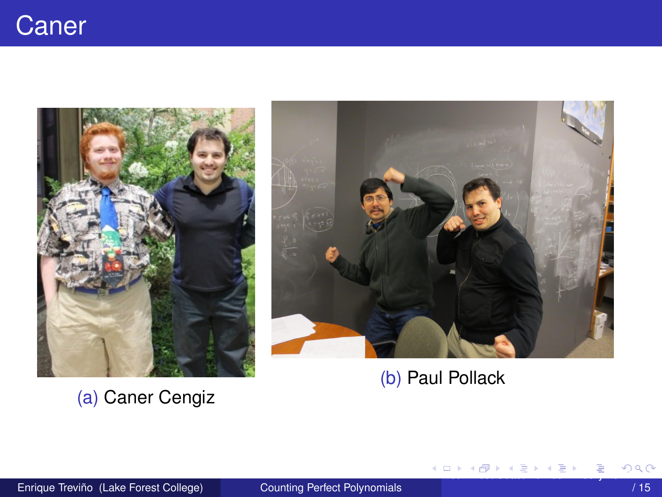<span id="page-1-0"></span>

(a) Caner Cengiz



(b) Paul Pollack

メロメメ 御きメ 急き メ 重きく

Þ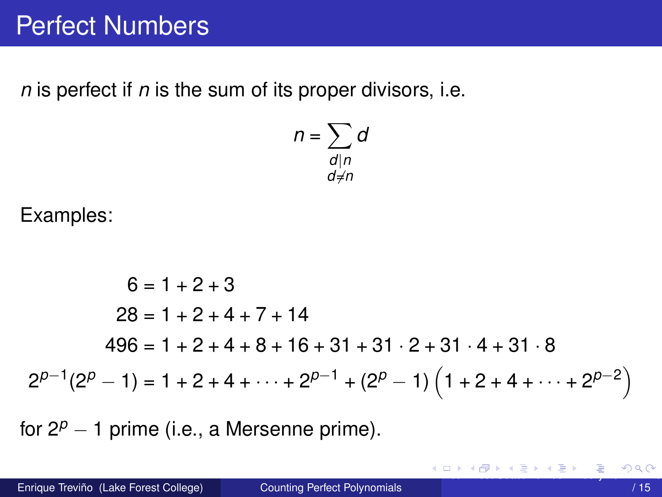<span id="page-2-0"></span> $n$  is perfect if  $n$  is the sum of its proper divisors, i.e.

$$
n = \sum_{\substack{d \mid n \\ d \neq n}} d
$$

Examples:

$$
6 = 1 + 2 + 3
$$
  
\n
$$
28 = 1 + 2 + 4 + 7 + 14
$$
  
\n
$$
496 = 1 + 2 + 4 + 8 + 16 + 31 + 31 \cdot 2 + 31 \cdot 4 + 31 \cdot 8
$$
  
\n
$$
2^{p-1}(2^p - 1) = 1 + 2 + 4 + \dots + 2^{p-1} + (2^p - 1) \left(1 + 2 + 4 + \dots + 2^{p-2}\right)
$$

for  $2^p - 1$  prime (i.e., a Mersenne prime).

造

K ロ K K 御 K K 急 K K 急 K …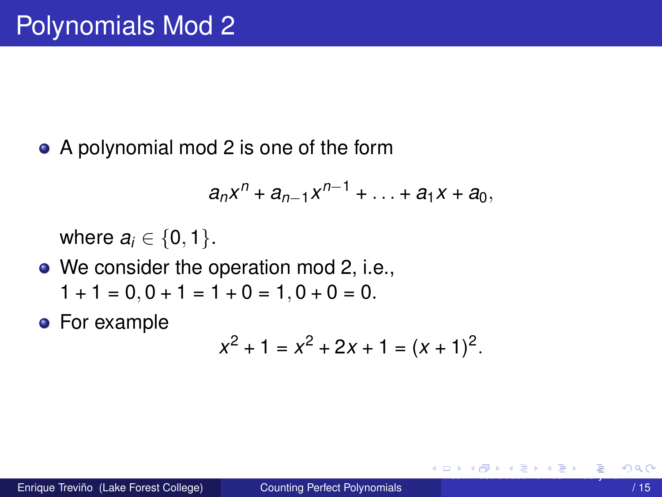<span id="page-3-0"></span>• A polynomial mod 2 is one of the form

$$
a_nx^n + a_{n-1}x^{n-1} + ... + a_1x + a_0,
$$

where  $a_i \in \{0, 1\}$ .

- We consider the operation mod 2, i.e.,  $1 + 1 = 0$ ,  $0 + 1 = 1 + 0 = 1$ ,  $0 + 0 = 0$ .
- For example

$$
x^2 + 1 = x^2 + 2x + 1 = (x + 1)^2.
$$

イロト イ押 トイラト イラト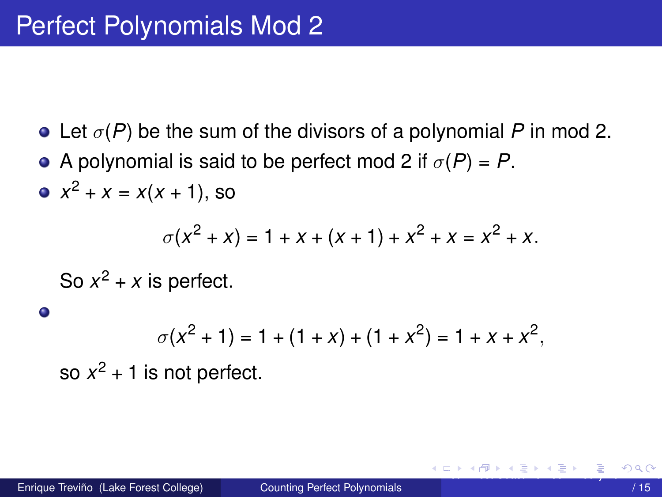- <span id="page-4-0"></span>• Let  $\sigma(P)$  be the sum of the divisors of a polynomial P in mod 2.
- A polynomial is said to be perfect mod 2 if  $\sigma(P) = P$ .
- $x^2 + x = x(x + 1)$ , so

$$
\sigma(x^2 + x) = 1 + x + (x + 1) + x^2 + x = x^2 + x.
$$

So  $x^2 + x$  is perfect.

$$
\sigma(x^2 + 1) = 1 + (1 + x) + (1 + x^2) = 1 + x + x^2,
$$

so  $x^2$  + 1 is not perfect.

 $\bullet$ 

イロト イ押 トイラト イラト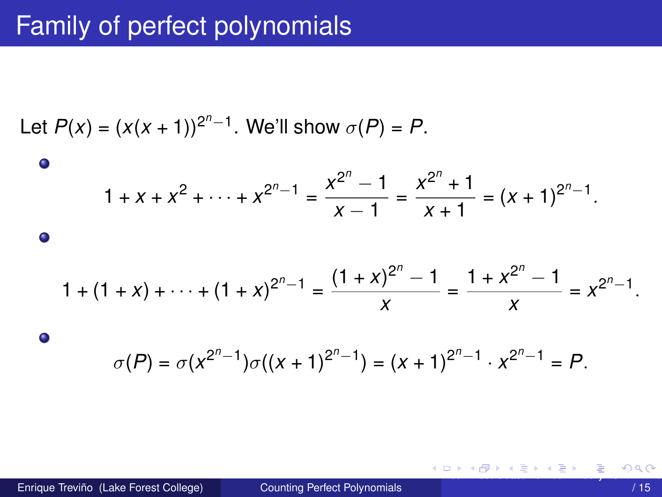# <span id="page-5-0"></span>Family of perfect polynomials

*<sup>n</sup>*−1

Let *P*(*x*) = (*x*(*x* + 1))<sup>2</sup> . We'll show *σ*(*P*) = *P*. 1 + *x* + *x* <sup>2</sup> + · · · + *x* 2 *<sup>n</sup>*−<sup>1</sup> = *x* 2 *n* − 1 *x* − 1 = *x* 2 *n* + 1 *<sup>x</sup>* + 1 = (*<sup>x</sup>* + 1)<sup>2</sup> *<sup>n</sup>*−1 *.* 1 + (1 + *x*) + · · · + (1 + *x*) 2 *<sup>n</sup>*−<sup>1</sup> = (1 + *x*) 2 *n* − 1 *x* = 1 + *x* 2 *n* − 1 *x* = *x* 2 *<sup>n</sup>*−1 *. σ*(*P*) = *σ*(*x* 2 *<sup>n</sup>*−1 )*σ*((*x* + 1)<sup>2</sup> *<sup>n</sup>*−1 ) = (*x* + 1)<sup>2</sup> *<sup>n</sup>*−1 · *x* 2 *<sup>n</sup>*−<sup>1</sup> = *P.*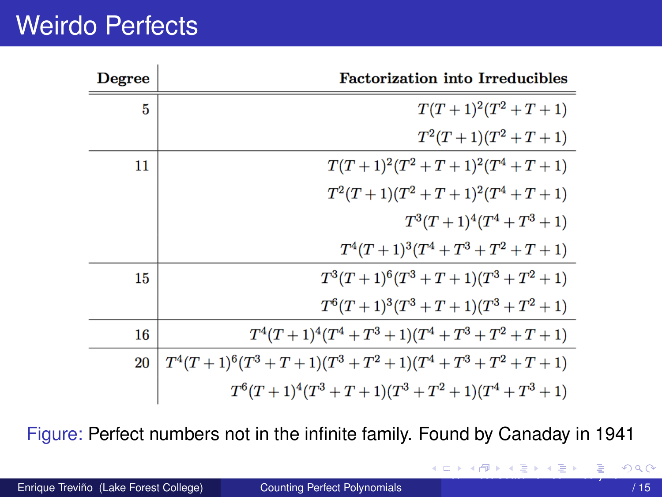# <span id="page-6-0"></span>**Weirdo Perfects**

| Degree | <b>Factorization into Irreducibles</b>                    |
|--------|-----------------------------------------------------------|
| 5      | $T(T+1)^2(T^2+T+1)$                                       |
|        | $T^2(T+1)(T^2+T+1)$                                       |
| 11     | $T(T+1)^2(T^2+T+1)^2(T^4+T+1)$                            |
|        | $T^2(T+1)(T^2+T+1)^2(T^4+T+1)$                            |
|        | $T^3(T+1)^4(T^4+T^3+1)$                                   |
|        | $T^4(T+1)^3(T^4+T^3+T^2+T+1)$                             |
| 15     | $T^3(T+1)^6(T^3+T+1)(T^3+T^2+1)$                          |
|        | $T^{6}(T+1)^{3}(T^{3}+T+1)(T^{3}+T^{2}+1)$                |
| 16     | $T^4(T+1)^4(T^4+T^3+1)(T^4+T^3+T^2+T+1)$                  |
| 20     | $T^4(T+1)^6(T^3+T+1)(T^3+T^2+1)(T^4+T^3+T^2+T+1)$         |
|        | $T^{6}(T+1)^{4}(T^{3}+T+1)(T^{3}+T^{2}+1)(T^{4}+T^{3}+1)$ |

Figure: Perfect numbers not in the infinite family. Found by Canaday in 1941

イロトメ 押 トメ 急 トメ 急 トー 急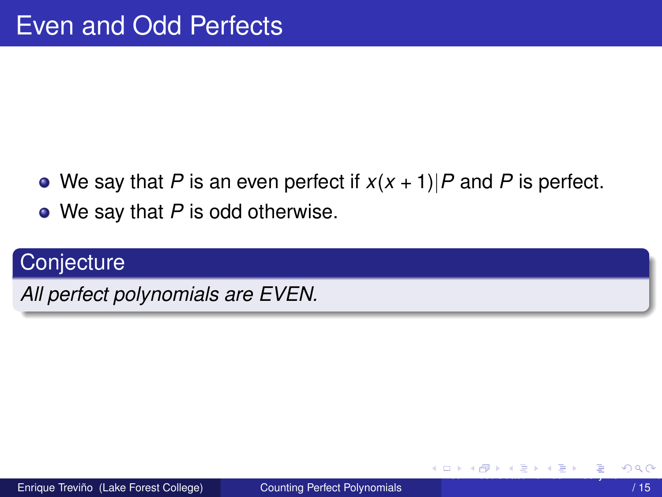- <span id="page-7-0"></span>• We say that P is an even perfect if  $x(x + 1)$  P and P is perfect.
- $\bullet$  We say that P is odd otherwise.

## Conjecture

All perfect polynomials are EVEN.

イロト イ押ト イヨト イヨト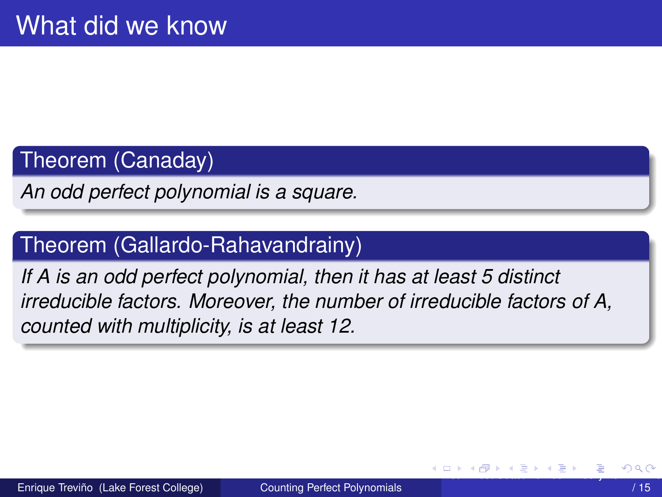#### <span id="page-8-0"></span>Theorem (Canaday)

An odd perfect polynomial is a square.

### Theorem (Gallardo-Rahavandrainy)

If A is an odd perfect polynomial, then it has at least 5 distinct irreducible factors. Moreover, the number of irreducible factors of A, counted with multiplicity, is at least 12.

( ロ ) ( *同* ) ( ヨ ) (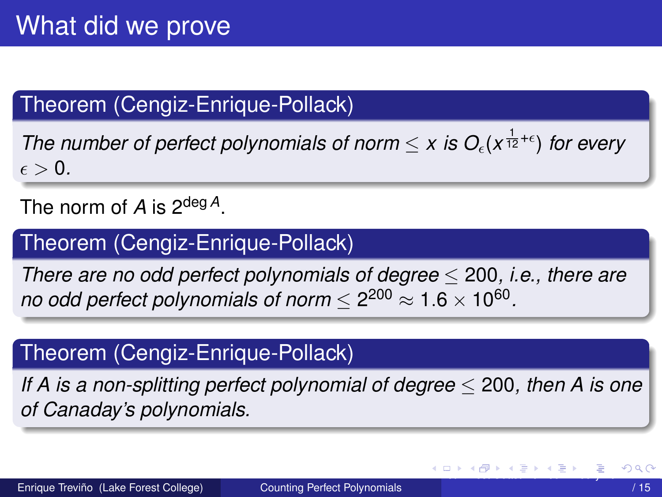# <span id="page-9-0"></span>Theorem (Cengiz-Enrique-Pollack)

*The number of perfect polynomials of norm*  $\leq x$  *is O<sub>c</sub>*( $x^{\frac{1}{12}+\epsilon}$ ) *for every*  $\epsilon > 0$ .

The norm of *A* is 2deg *<sup>A</sup>*.

## Theorem (Cengiz-Enrique-Pollack)

*There are no odd perfect polynomials of degree* ≤ 200*, i.e., there are no odd perfect polynomials of norm*  $\leq$  2 $^{200}$   $\approx$  1.6  $\times$  10 $^{60}.$ 

## Theorem (Cengiz-Enrique-Pollack)

*If A is a non-splitting perfect polynomial of degree* ≤ 200*, then A is one of Canaday's polynomials.*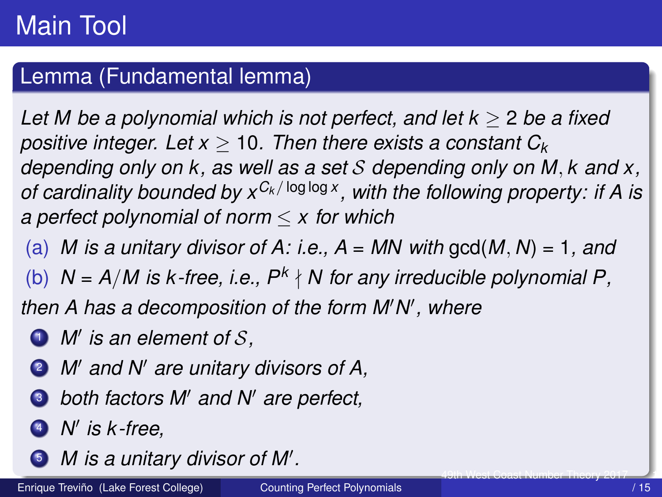### <span id="page-10-0"></span>Lemma (Fundamental lemma)

*Let M be a polynomial which is not perfect, and let k* ≥ 2 *be a fixed positive integer. Let x* ≥ 10*. Then there exists a constant C<sup>k</sup> depending only on k, as well as a set* S *depending only on M, k and x, of cardinality bounded by xC<sup>k</sup> /* log log *<sup>x</sup> , with the following property: if A is a perfect polynomial of norm* ≤ *x for which*

(a) *M* is a unitary divisor of A: i.e.,  $A = MN$  with gcd(M, N) = 1, and

(b)  $N = A/M$  is  $k$ -free, i.e.,  $P^k \nmid N$  for any irreducible polynomial P,

then A has a decomposition of the form M'N', where

- *i M'* is an element of S,
- **2** *M'* and *N'* are unitary divisors of A,
- $\bullet$  *both factors M' and N' are perfect,*
- <sup>4</sup> *N* 0 *is k -free,*
- *M* is a unitary divisor of M'.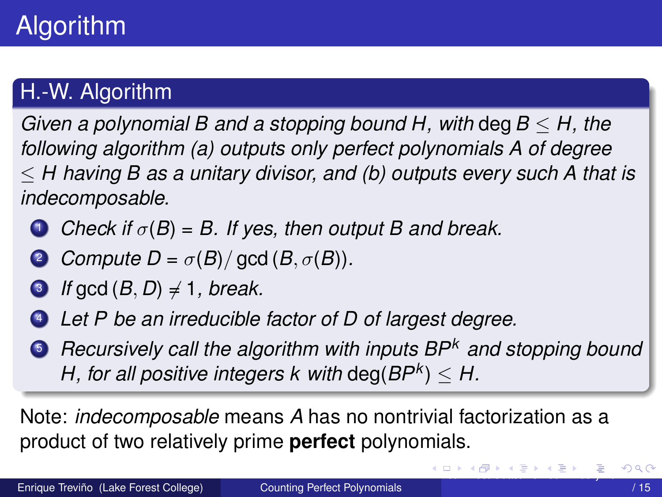## <span id="page-11-0"></span>H.-W. Algorithm

*Given a polynomial B and a stopping bound H, with* deg*B* ≤ *H, the following algorithm (a) outputs only perfect polynomials A of degree* ≤ *H having B as a unitary divisor, and (b) outputs every such A that is indecomposable.*

- **1** *Check if*  $\sigma(B) = B$ . If yes, then output B and break.
- **2** *Compute D* =  $\sigma(B)/$  gcd (*B*,  $\sigma(B)$ )*.*
- $\bullet$  *If* gcd  $(B, D) \neq 1$ *, break.*
- <sup>4</sup> *Let P be an irreducible factor of D of largest degree.*
- <sup>5</sup> *Recursively call the algorithm with inputs BP<sup>k</sup> and stopping bound*  $H$ , for all positive integers  $k$  with  $\text{deg}(BP^k) \leq H$ .

Note: *indecomposable* means *A* has no nontrivial factorization as a product of two relatively prime **perfect** polynomials.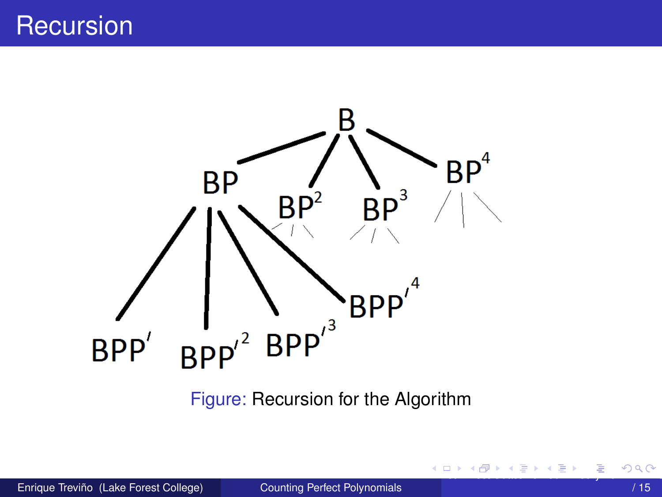# <span id="page-12-0"></span>**Recursion**



Figure: Recursion for the Algorithm

目

メロトメ 御 トメ 君 トメ 君 ト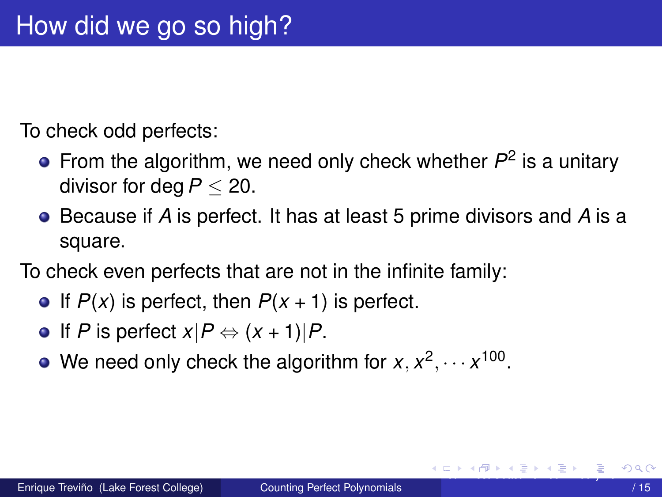<span id="page-13-0"></span>To check odd perfects:

- From the algorithm, we need only check whether  $P^2$  is a unitary divisor for deg*P* ≤ 20.
- Because if *A* is perfect. It has at least 5 prime divisors and *A* is a square.

To check even perfects that are not in the infinite family:

- If  $P(x)$  is perfect, then  $P(x + 1)$  is perfect.
- $\bullet$  If *P* is perfect  $x|P \Leftrightarrow (x + 1)|P$ .
- We need only check the algorithm for  $x, x^2, \dots x^{100}$ .

[4](#page-12-0)[9th](#page-14-0) [W](#page-12-0)[est](#page-13-0) [Co](#page-14-0)mmunication [201](#page-14-0)7 14